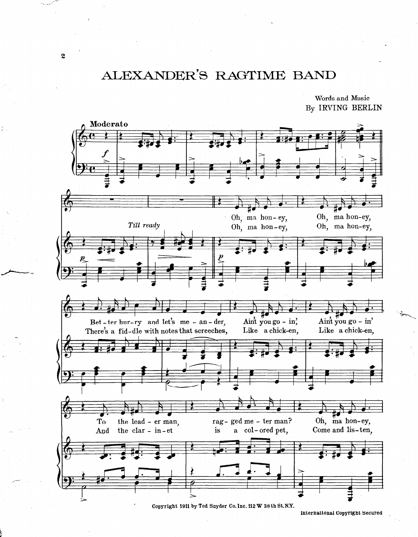## ALEXANDER'S RAGTIME BAND

Words and Music By IRVING BERLIN



Copyright 1911 by Ted Snyder Co. Inc. 112 W 38 th St.N.Y.

International Copyright Secured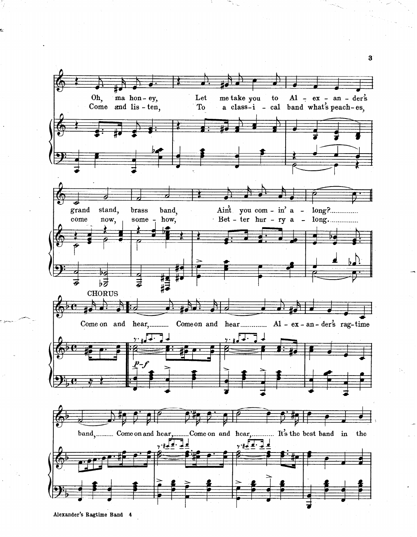

--

Alexander's Ragtime Band 4

3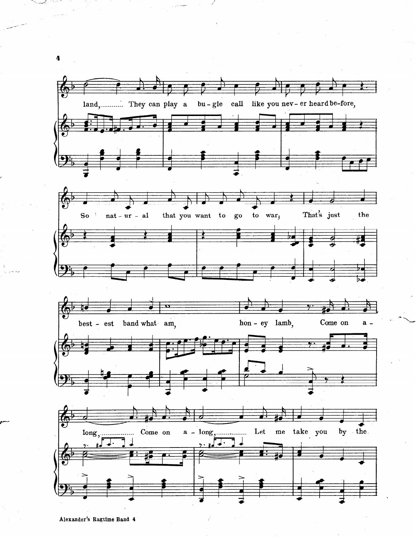